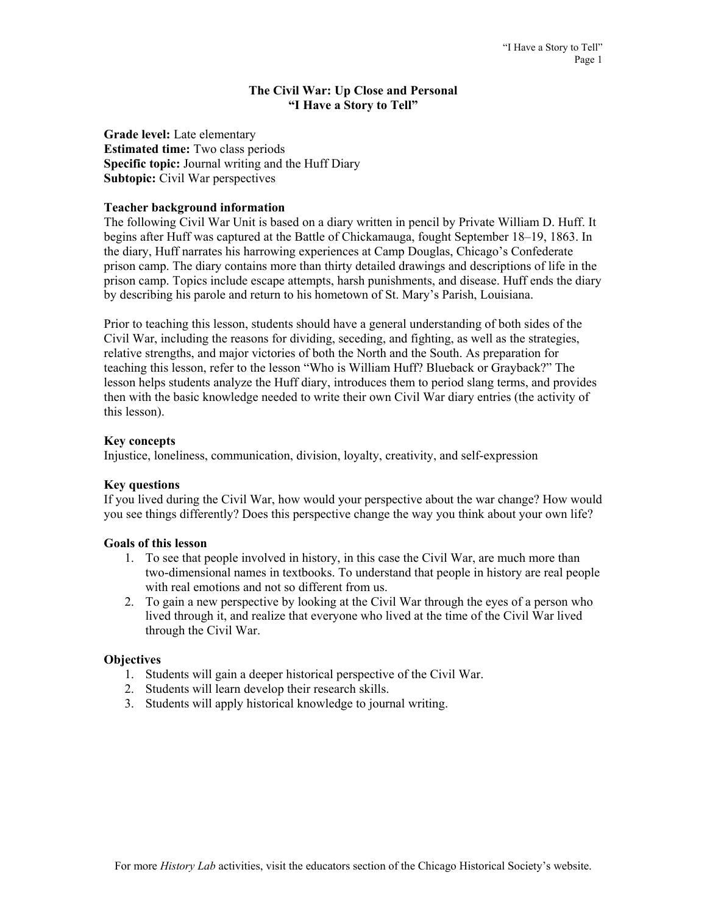#### **The Civil War: Up Close and Personal "I Have a Story to Tell"**

**Grade level:** Late elementary **Estimated time:** Two class periods **Specific topic:** Journal writing and the Huff Diary **Subtopic:** Civil War perspectives

### **Teacher background information**

The following Civil War Unit is based on a diary written in pencil by Private William D. Huff. It begins after Huff was captured at the Battle of Chickamauga, fought September 18–19, 1863. In the diary, Huff narrates his harrowing experiences at Camp Douglas, Chicago's Confederate prison camp. The diary contains more than thirty detailed drawings and descriptions of life in the prison camp. Topics include escape attempts, harsh punishments, and disease. Huff ends the diary by describing his parole and return to his hometown of St. Mary's Parish, Louisiana.

Prior to teaching this lesson, students should have a general understanding of both sides of the Civil War, including the reasons for dividing, seceding, and fighting, as well as the strategies, relative strengths, and major victories of both the North and the South. As preparation for teaching this lesson, refer to the lesson "Who is William Huff? Blueback or Grayback?" The lesson helps students analyze the Huff diary, introduces them to period slang terms, and provides then with the basic knowledge needed to write their own Civil War diary entries (the activity of this lesson).

#### **Key concepts**

Injustice, loneliness, communication, division, loyalty, creativity, and self-expression

### **Key questions**

If you lived during the Civil War, how would your perspective about the war change? How would you see things differently? Does this perspective change the way you think about your own life?

### **Goals of this lesson**

- 1. To see that people involved in history, in this case the Civil War, are much more than two-dimensional names in textbooks. To understand that people in history are real people with real emotions and not so different from us.
- 2. To gain a new perspective by looking at the Civil War through the eyes of a person who lived through it, and realize that everyone who lived at the time of the Civil War lived through the Civil War.

### **Objectives**

- 1. Students will gain a deeper historical perspective of the Civil War.
- 2. Students will learn develop their research skills.
- 3. Students will apply historical knowledge to journal writing.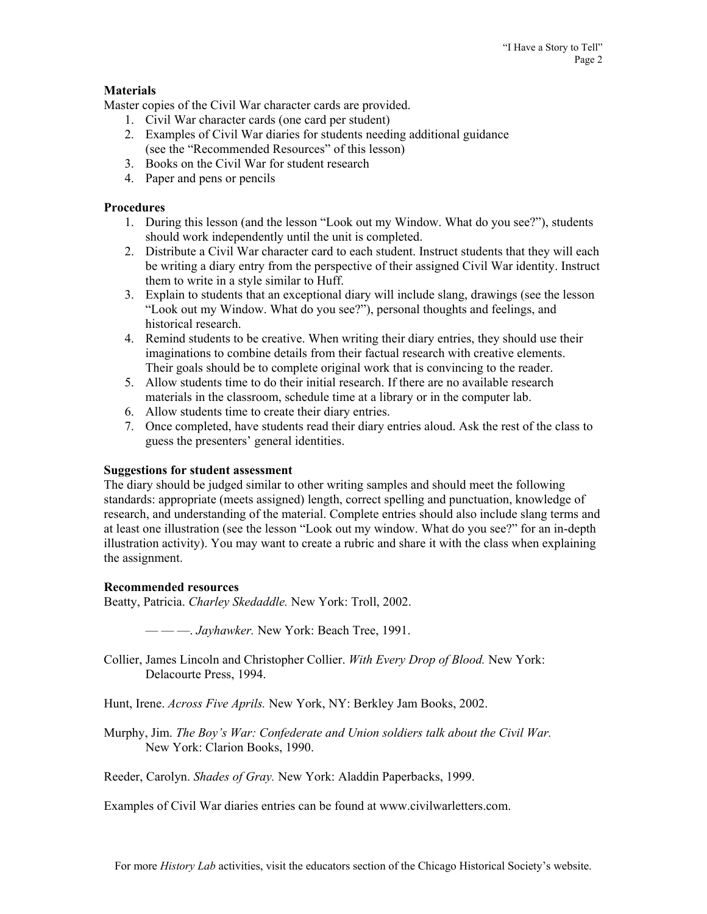## **Materials**

Master copies of the Civil War character cards are provided.

- 1. Civil War character cards (one card per student)
- 2. Examples of Civil War diaries for students needing additional guidance (see the "Recommended Resources" of this lesson)
- 3. Books on the Civil War for student research
- 4. Paper and pens or pencils

### **Procedures**

- 1. During this lesson (and the lesson "Look out my Window. What do you see?"), students should work independently until the unit is completed.
- 2. Distribute a Civil War character card to each student. Instruct students that they will each be writing a diary entry from the perspective of their assigned Civil War identity. Instruct them to write in a style similar to Huff.
- 3. Explain to students that an exceptional diary will include slang, drawings (see the lesson "Look out my Window. What do you see?"), personal thoughts and feelings, and historical research.
- 4. Remind students to be creative. When writing their diary entries, they should use their imaginations to combine details from their factual research with creative elements. Their goals should be to complete original work that is convincing to the reader.
- 5. Allow students time to do their initial research. If there are no available research materials in the classroom, schedule time at a library or in the computer lab.
- 6. Allow students time to create their diary entries.
- 7. Once completed, have students read their diary entries aloud. Ask the rest of the class to guess the presenters' general identities.

### **Suggestions for student assessment**

The diary should be judged similar to other writing samples and should meet the following standards: appropriate (meets assigned) length, correct spelling and punctuation, knowledge of research, and understanding of the material. Complete entries should also include slang terms and at least one illustration (see the lesson "Look out my window. What do you see?" for an in-depth illustration activity). You may want to create a rubric and share it with the class when explaining the assignment.

### **Recommended resources**

Beatty, Patricia. *Charley Skedaddle.* New York: Troll, 2002.

— — —. *Jayhawker.* New York: Beach Tree, 1991.

Collier, James Lincoln and Christopher Collier. *With Every Drop of Blood.* New York: Delacourte Press, 1994.

Hunt, Irene. *Across Five Aprils.* New York, NY: Berkley Jam Books, 2002.

Murphy, Jim. *The Boy's War: Confederate and Union soldiers talk about the Civil War.*  New York: Clarion Books, 1990.

Reeder, Carolyn. *Shades of Gray.* New York: Aladdin Paperbacks, 1999.

Examples of Civil War diaries entries can be found at www.civilwarletters.com.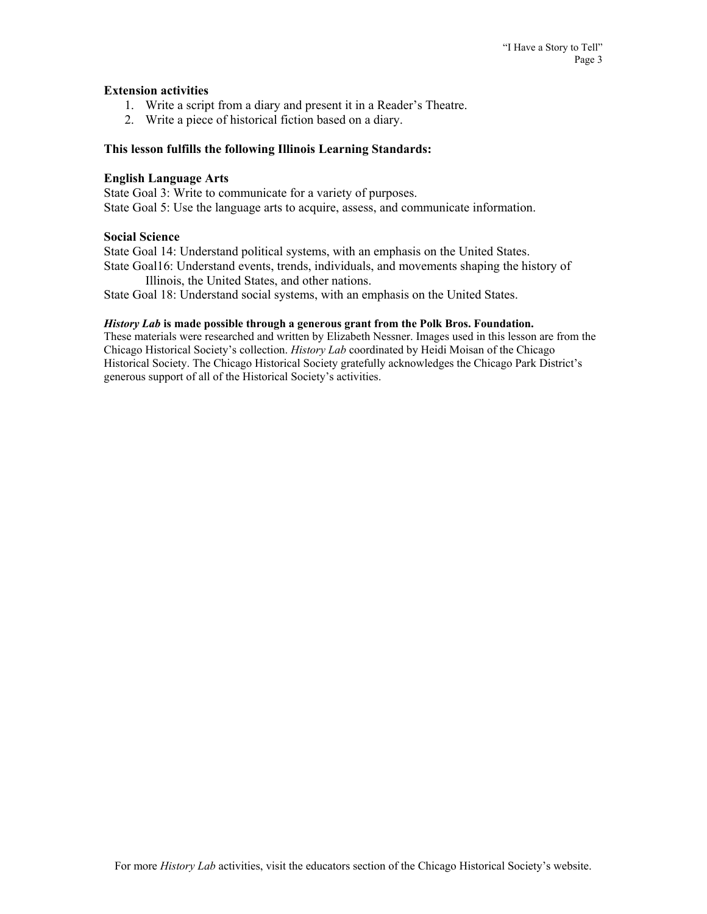### **Extension activities**

- 1. Write a script from a diary and present it in a Reader's Theatre.
- 2. Write a piece of historical fiction based on a diary.

#### **This lesson fulfills the following Illinois Learning Standards:**

#### **English Language Arts**

State Goal 3: Write to communicate for a variety of purposes. State Goal 5: Use the language arts to acquire, assess, and communicate information.

### **Social Science**

State Goal 14: Understand political systems, with an emphasis on the United States. State Goal16: Understand events, trends, individuals, and movements shaping the history of

Illinois, the United States, and other nations.

State Goal 18: Understand social systems, with an emphasis on the United States.

### *History Lab* **is made possible through a generous grant from the Polk Bros. Foundation.**

These materials were researched and written by Elizabeth Nessner. Images used in this lesson are from the Chicago Historical Society's collection. *History Lab* coordinated by Heidi Moisan of the Chicago Historical Society. The Chicago Historical Society gratefully acknowledges the Chicago Park District's generous support of all of the Historical Society's activities.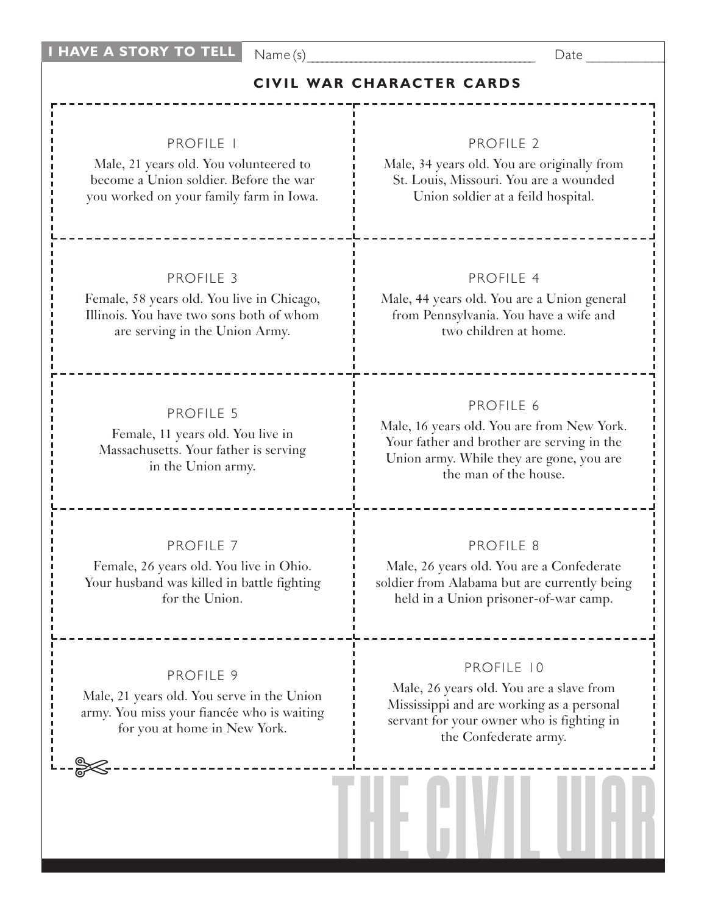Name (s) Executive Security Assembly Date  $\Box$ 

## **CIVIL WAR CHARACTER CARDS**

## PROFILE 1

Male, 21 years old. You volunteered to become a Union soldier. Before the war you worked on your family farm in Iowa.

## PROFILE 3

Female, 58 years old. You live in Chicago, Illinois. You have two sons both of whom are serving in the Union Army.

## PROFILE 5

Female, 11 years old. You live in Massachusetts. Your father is serving in the Union army.

### PROFILE 7

Female, 26 years old. You live in Ohio. Your husband was killed in battle fighting for the Union.

## PROFILE 9

Male, 21 years old. You serve in the Union army. You miss your fiancée who is waiting for you at home in New York.

✄

## PROFILE 2

Male, 34 years old. You are originally from St. Louis, Missouri. You are a wounded Union soldier at a feild hospital.

## PROFILE 4

Male, 44 years old. You are a Union general from Pennsylvania. You have a wife and two children at home.

#### PROFILE 6

Male, 16 years old. You are from New York. Your father and brother are serving in the Union army. While they are gone, you are the man of the house.

#### PROFILE 8

Male, 26 years old. You are a Confederate soldier from Alabama but are currently being held in a Union prisoner-of-war camp.

### PROFILE 10

Male, 26 years old. You are a slave from Mississippi and are working as a personal servant for your owner who is fighting in the Confederate army.

THE CIVIL WAR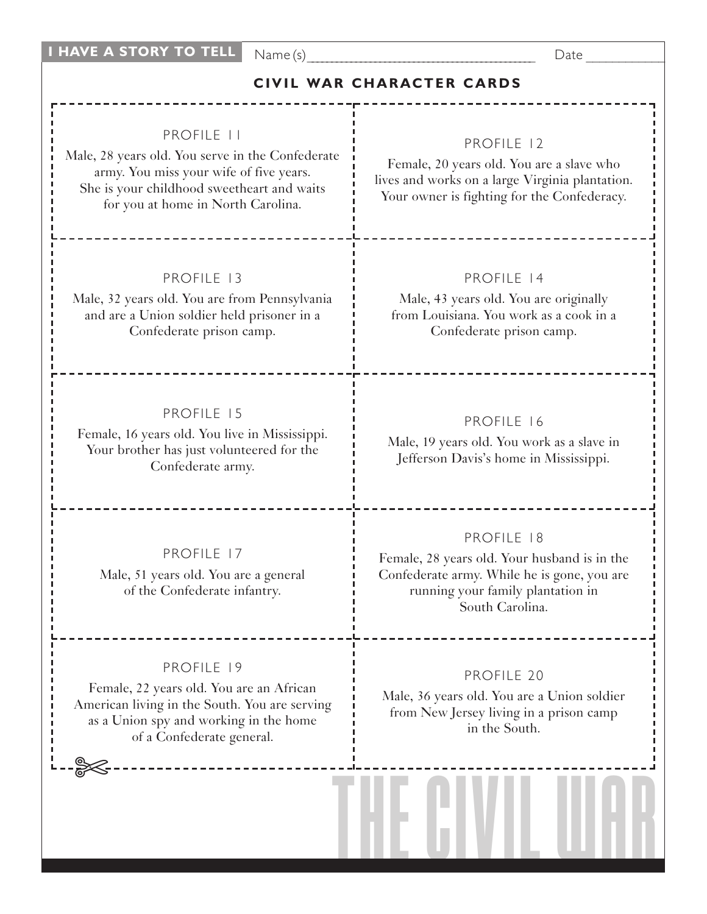Name (s) Executive Security Assembly Date  $\Box$ 

# **CIVIL WAR CHARACTER CARDS**

## PROFILE 11

Male, 28 years old. You serve in the Confederate army. You miss your wife of five years. She is your childhood sweetheart and waits for you at home in North Carolina.

## PROFILE 13

Male, 32 years old. You are from Pennsylvania and are a Union soldier held prisoner in a Confederate prison camp.

### PROFILE 15

Female, 16 years old. You live in Mississippi. Your brother has just volunteered for the Confederate army.

PROFILE 17 Male, 51 years old. You are a general of the Confederate infantry.

### PROFILE 19

Female, 22 years old. You are an African American living in the South. You are serving as a Union spy and working in the home of a Confederate general.

✄

# PROFILE 12

Female, 20 years old. You are a slave who lives and works on a large Virginia plantation. Your owner is fighting for the Confederacy.

## PROFILE 14

Male, 43 years old. You are originally from Louisiana. You work as a cook in a Confederate prison camp.

## PROFILE 16

Male, 19 years old. You work as a slave in Jefferson Davis's home in Mississippi.

#### PROFILE 18

Female, 28 years old. Your husband is in the Confederate army. While he is gone, you are running your family plantation in South Carolina.

## PROFILE 20

Male, 36 years old. You are a Union soldier from New Jersey living in a prison camp in the South.

THE CIVIL WAR